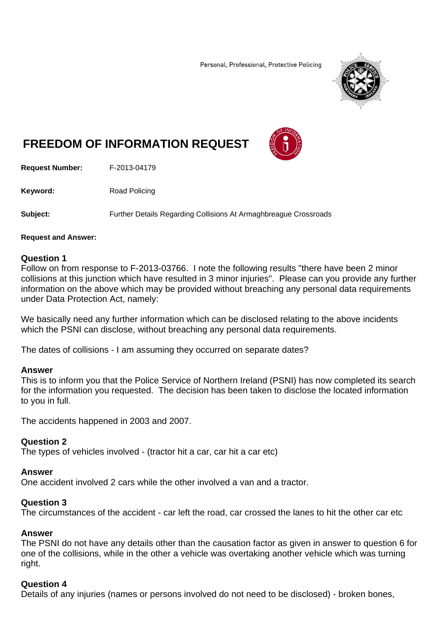Personal, Professional, Protective Policing



# **FREEDOM OF INFORMATION REQUEST**



**Request Number:** F-2013-04179

**Keyword:** Road Policing

**Subject:** Further Details Regarding Collisions At Armaghbreague Crossroads

#### **Request and Answer:**

### **Question 1**

Follow on from response to F-2013-03766. I note the following results "there have been 2 minor collisions at this junction which have resulted in 3 minor injuries". Please can you provide any further information on the above which may be provided without breaching any personal data requirements under Data Protection Act, namely:

We basically need any further information which can be disclosed relating to the above incidents which the PSNI can disclose, without breaching any personal data requirements.

The dates of collisions - I am assuming they occurred on separate dates?

#### **Answer**

This is to inform you that the Police Service of Northern Ireland (PSNI) has now completed its search for the information you requested. The decision has been taken to disclose the located information to you in full.

The accidents happened in 2003 and 2007.

## **Question 2**

The types of vehicles involved - (tractor hit a car, car hit a car etc)

## **Answer**

One accident involved 2 cars while the other involved a van and a tractor.

#### **Question 3**

The circumstances of the accident - car left the road, car crossed the lanes to hit the other car etc

#### **Answer**

The PSNI do not have any details other than the causation factor as given in answer to question 6 for one of the collisions, while in the other a vehicle was overtaking another vehicle which was turning right.

## **Question 4**

Details of any injuries (names or persons involved do not need to be disclosed) - broken bones,